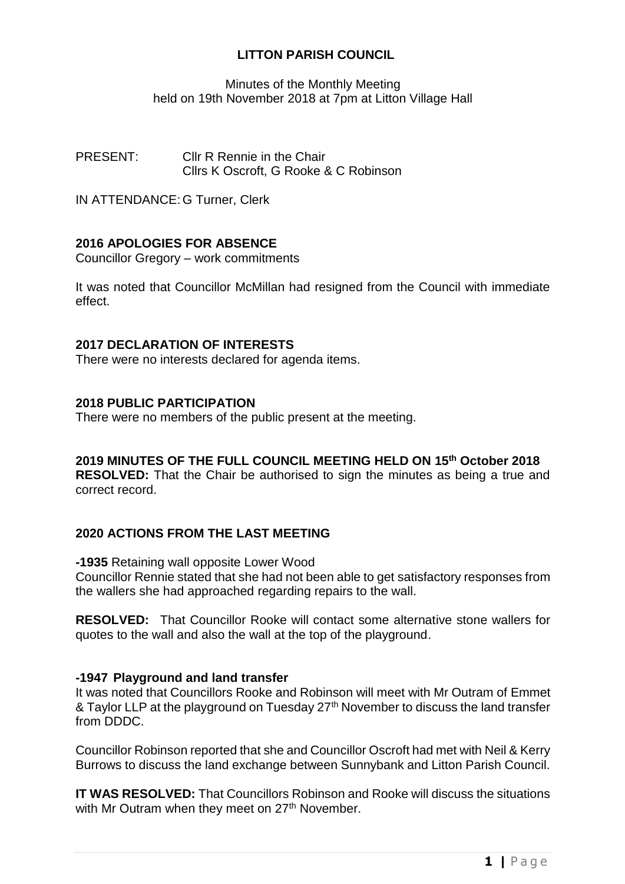# **LITTON PARISH COUNCIL**

Minutes of the Monthly Meeting held on 19th November 2018 at 7pm at Litton Village Hall

PRESENT: Cllr R Rennie in the Chair Cllrs K Oscroft, G Rooke & C Robinson

IN ATTENDANCE: G Turner, Clerk

# **2016 APOLOGIES FOR ABSENCE**

Councillor Gregory – work commitments

It was noted that Councillor McMillan had resigned from the Council with immediate effect.

### **2017 DECLARATION OF INTERESTS**

There were no interests declared for agenda items.

#### **2018 PUBLIC PARTICIPATION**

There were no members of the public present at the meeting.

**2019 MINUTES OF THE FULL COUNCIL MEETING HELD ON 15th October 2018 RESOLVED:** That the Chair be authorised to sign the minutes as being a true and correct record.

### **2020 ACTIONS FROM THE LAST MEETING**

**-1935** Retaining wall opposite Lower Wood

Councillor Rennie stated that she had not been able to get satisfactory responses from the wallers she had approached regarding repairs to the wall.

**RESOLVED:** That Councillor Rooke will contact some alternative stone wallers for quotes to the wall and also the wall at the top of the playground.

#### **-1947 Playground and land transfer**

It was noted that Councillors Rooke and Robinson will meet with Mr Outram of Emmet & Taylor LLP at the playground on Tuesday 27<sup>th</sup> November to discuss the land transfer from DDDC.

Councillor Robinson reported that she and Councillor Oscroft had met with Neil & Kerry Burrows to discuss the land exchange between Sunnybank and Litton Parish Council.

**IT WAS RESOLVED:** That Councillors Robinson and Rooke will discuss the situations with Mr Outram when they meet on 27<sup>th</sup> November.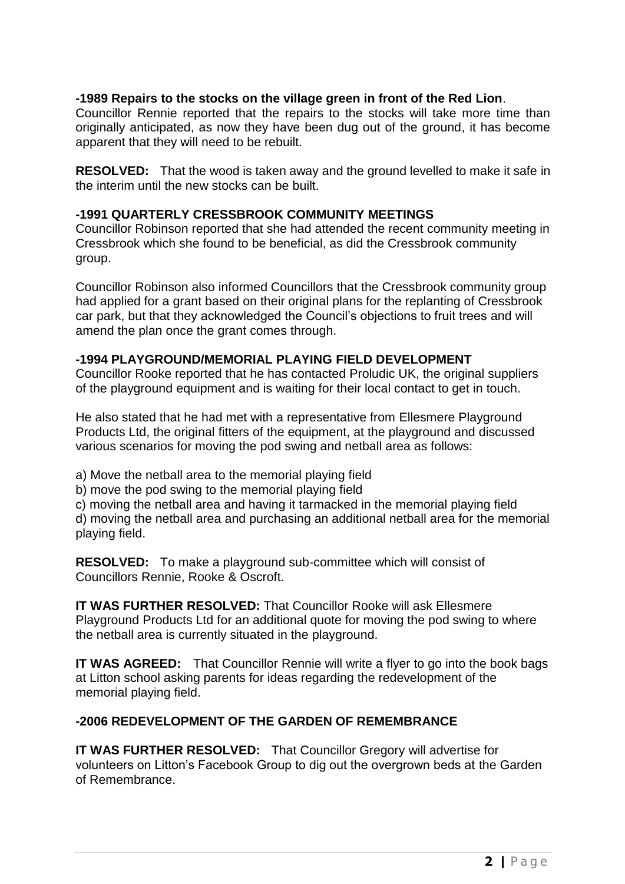## **-1989 Repairs to the stocks on the village green in front of the Red Lion**.

Councillor Rennie reported that the repairs to the stocks will take more time than originally anticipated, as now they have been dug out of the ground, it has become apparent that they will need to be rebuilt.

**RESOLVED:** That the wood is taken away and the ground levelled to make it safe in the interim until the new stocks can be built.

### **-1991 QUARTERLY CRESSBROOK COMMUNITY MEETINGS**

Councillor Robinson reported that she had attended the recent community meeting in Cressbrook which she found to be beneficial, as did the Cressbrook community group.

Councillor Robinson also informed Councillors that the Cressbrook community group had applied for a grant based on their original plans for the replanting of Cressbrook car park, but that they acknowledged the Council's objections to fruit trees and will amend the plan once the grant comes through.

## **-1994 PLAYGROUND/MEMORIAL PLAYING FIELD DEVELOPMENT**

Councillor Rooke reported that he has contacted Proludic UK, the original suppliers of the playground equipment and is waiting for their local contact to get in touch.

He also stated that he had met with a representative from Ellesmere Playground Products Ltd, the original fitters of the equipment, at the playground and discussed various scenarios for moving the pod swing and netball area as follows:

a) Move the netball area to the memorial playing field

b) move the pod swing to the memorial playing field

c) moving the netball area and having it tarmacked in the memorial playing field d) moving the netball area and purchasing an additional netball area for the memorial playing field.

**RESOLVED:** To make a playground sub-committee which will consist of Councillors Rennie, Rooke & Oscroft.

**IT WAS FURTHER RESOLVED:** That Councillor Rooke will ask Ellesmere Playground Products Ltd for an additional quote for moving the pod swing to where the netball area is currently situated in the playground.

**IT WAS AGREED:** That Councillor Rennie will write a flyer to go into the book bags at Litton school asking parents for ideas regarding the redevelopment of the memorial playing field.

# **-2006 REDEVELOPMENT OF THE GARDEN OF REMEMBRANCE**

**IT WAS FURTHER RESOLVED:** That Councillor Gregory will advertise for volunteers on Litton's Facebook Group to dig out the overgrown beds at the Garden of Remembrance.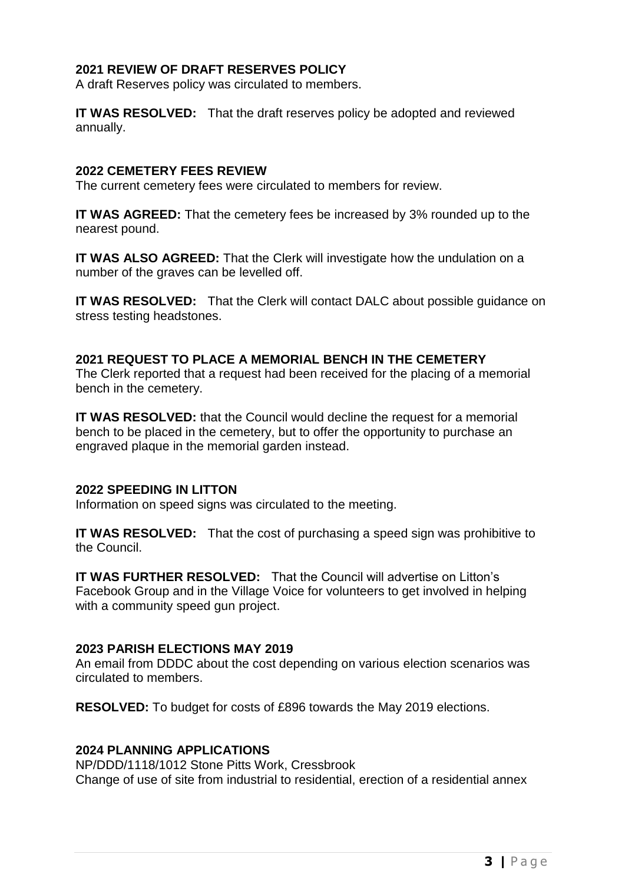## **2021 REVIEW OF DRAFT RESERVES POLICY**

A draft Reserves policy was circulated to members.

**IT WAS RESOLVED:** That the draft reserves policy be adopted and reviewed annually.

#### **2022 CEMETERY FEES REVIEW**

The current cemetery fees were circulated to members for review.

**IT WAS AGREED:** That the cemetery fees be increased by 3% rounded up to the nearest pound.

**IT WAS ALSO AGREED:** That the Clerk will investigate how the undulation on a number of the graves can be levelled off.

**IT WAS RESOLVED:** That the Clerk will contact DALC about possible guidance on stress testing headstones.

## **2021 REQUEST TO PLACE A MEMORIAL BENCH IN THE CEMETERY**

The Clerk reported that a request had been received for the placing of a memorial bench in the cemetery.

**IT WAS RESOLVED:** that the Council would decline the request for a memorial bench to be placed in the cemetery, but to offer the opportunity to purchase an engraved plaque in the memorial garden instead.

#### **2022 SPEEDING IN LITTON**

Information on speed signs was circulated to the meeting.

**IT WAS RESOLVED:** That the cost of purchasing a speed sign was prohibitive to the Council.

**IT WAS FURTHER RESOLVED:** That the Council will advertise on Litton's Facebook Group and in the Village Voice for volunteers to get involved in helping with a community speed gun project.

# **2023 PARISH ELECTIONS MAY 2019**

An email from DDDC about the cost depending on various election scenarios was circulated to members.

**RESOLVED:** To budget for costs of £896 towards the May 2019 elections.

### **2024 PLANNING APPLICATIONS**

NP/DDD/1118/1012 Stone Pitts Work, Cressbrook Change of use of site from industrial to residential, erection of a residential annex